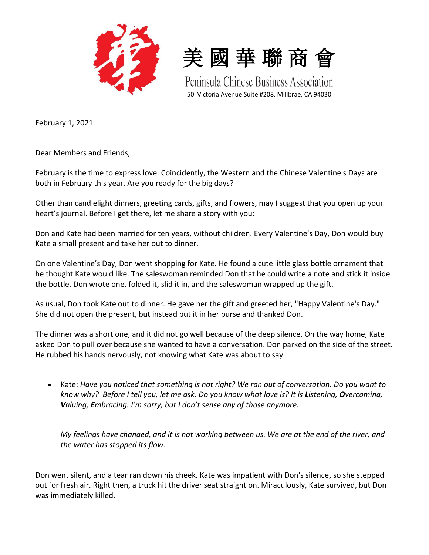



February 1, 2021

Dear Members and Friends,

February is the time to express love. Coincidently, the Western and the Chinese Valentine's Days are both in February this year. Are you ready for the big days?

Other than candlelight dinners, greeting cards, gifts, and flowers, may I suggest that you open up your heart's journal. Before I get there, let me share a story with you:

Don and Kate had been married for ten years, without children. Every Valentine's Day, Don would buy Kate a small present and take her out to dinner.

On one Valentine's Day, Don went shopping for Kate. He found a cute little glass bottle ornament that he thought Kate would like. The saleswoman reminded Don that he could write a note and stick it inside the bottle. Don wrote one, folded it, slid it in, and the saleswoman wrapped up the gift.

As usual, Don took Kate out to dinner. He gave her the gift and greeted her, "Happy Valentine's Day." She did not open the present, but instead put it in her purse and thanked Don.

The dinner was a short one, and it did not go well because of the deep silence. On the way home, Kate asked Don to pull over because she wanted to have a conversation. Don parked on the side of the street. He rubbed his hands nervously, not knowing what Kate was about to say.

 Kate: *Have you noticed that something is not right? We ran out of conversation. Do you want to know why? Before I tell you, let me ask. Do you know what love is? It is Listening, Overcoming, Valuing, Embracing. I'm sorry, but I don't sense any of those anymore.*

*My feelings have changed, and it is not working between us. We are at the end of the river, and the water has stopped its flow.*

Don went silent, and a tear ran down his cheek. Kate was impatient with Don's silence, so she stepped out for fresh air. Right then, a truck hit the driver seat straight on. Miraculously, Kate survived, but Don was immediately killed.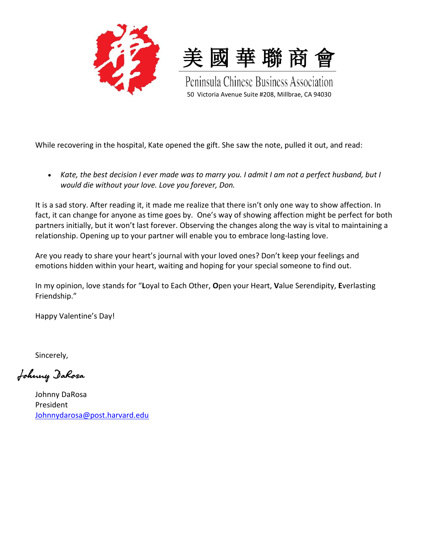



While recovering in the hospital, Kate opened the gift. She saw the note, pulled it out, and read:

 *Kate, the best decision I ever made was to marry you. I admit I am not a perfect husband, but I would die without your love. Love you forever, Don.*

It is a sad story. After reading it, it made me realize that there isn't only one way to show affection. In fact, it can change for anyone as time goes by. One's way of showing affection might be perfect for both partners initially, but it won't last forever. Observing the changes along the way is vital to maintaining a relationship. Opening up to your partner will enable you to embrace long-lasting love.

Are you ready to share your heart's journal with your loved ones? Don't keep your feelings and emotions hidden within your heart, waiting and hoping for your special someone to find out.

In my opinion, love stands for "**L**oyal to Each Other, **O**pen your Heart, **V**alue Serendipity, **E**verlasting Friendship."

Happy Valentine's Day!

Sincerely,

Johnny DaRosa

Johnny DaRosa President [Johnnydarosa@post.harvard.edu](mailto:Johnnydarosa@post.harvard.edu)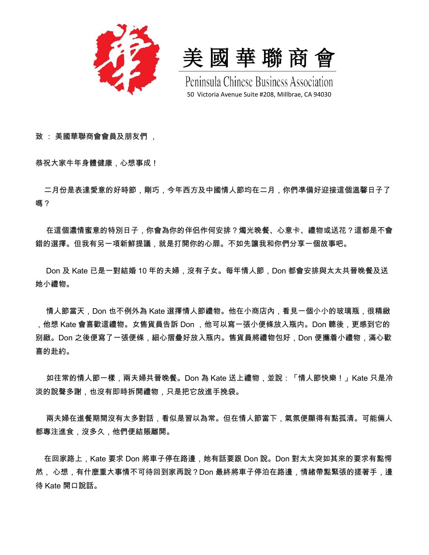

美 國 華 聯 商 會

致 : 美國華聯商會會員及朋友們 ,

恭祝大家牛年身體健康,心想事成!

 二月份是表達愛意的好時節,剛巧,今年西方及中國情人節均在二月,你們凖備好迎接這個溫馨日子了 嗎?

 在這個濃情蜜意的特別日子,你會為你的伴侣作何安排?燭光晚餐、心意卡、禮物或送花?這都是不會 錯的選擇。但我有另一項新鮮提議,就是打開你的心扉。不如先讓我和你們分享一個故事吧。

 Don 及 Kate 已是一對結婚 10 年的夫婦,沒有子女。每年情人節,Don 都會安排與太太共晉晚餐及送 她小禮物。

 情人節當天,Don 也不例外為 Kate 選擇情人節禮物。他在小商店內,看見一個小小的玻璃瓶,很精緻 ,他想 Kate 會喜歡這禮物。女售貨員告訴 Don ,他可以寫一張小便條放入瓶内。Don 聽後,更感到它的 别緻。Don 之後便寫了一張便條,細心摺疊好放入瓶内。售貨員將禮物包好,Don 便攜着小禮物,滿心歡 喜的赴約。

 如往常的情人節一樣,兩夫婦共晉晚餐。Don 為 Kate 送上禮物,並說:「情人節快樂!」Kate 只是冷 淡的說聲多謝,也沒有即時拆開禮物,只是把它放進手挽袋。

 兩夫婦在進餐期間沒有太多對話,看似是習以為常。但在情人節當下,氣氛便顯得有點孤清。可能倆人 都專注進食,沒多久,他們便結賬離開。

 在回家路上,Kate 要求 Don 將車子停在路邊,她有話要跟 Don 說。Don 對太太突如其來的要求有點愕 然, 心想,有什麼重大事情不可待回到家再說?Don 最終將車子停泊在路邊,情緒帶點緊張的搓著手,邊 待 Kate 開口說話。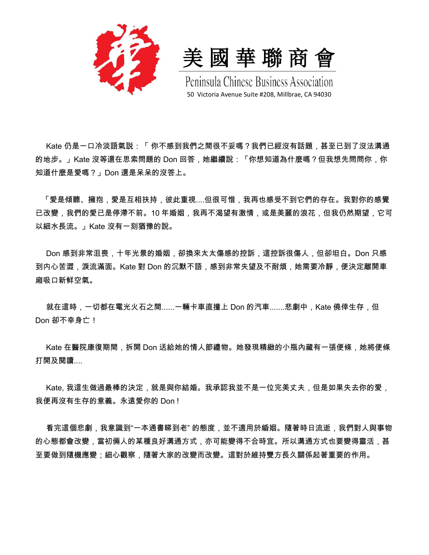

美 國 華 聯 商 會

 Kate 仍是一口冷淡語氣説:「 你不感到我們之間很不妥嗎?我們已經沒有話題,甚至已到了沒法溝通 的地步。」Kate 沒等還在思索問題的 Don 回答,她繼續說:「你想知道為什麼嗎?但我想先問問你,你 知道什麼是愛嗎?」Don 還是呆呆的沒答上。

 「愛是傾聽、擁抱,愛是互相扶持,彼此重視....但很可惜,我再也感受不到它們的存在。我對你的感覺 已改變,我們的愛已是停滯不前。10 年婚姻,我再不渴望有激情,或是美麗的浪花,但我仍然期望,它可 以細水長流。」Kate 沒有一刻猶豫的說。

 Don 感到非常沮喪,十年光景的婚姻,卻換來太太傷感的控訴,這控訴很傷人,但卻坦白。Don 只感 到内心苦澀,淚流滿面。Kate 對 Don 的沉默不語,感到非常失望及不耐煩,她需要冷靜,便決定離開車 廂吸口新鲜空氣。

就在這時,一切都在電光火石之間......一輛卡車直撞上 Don 的汽車.......悲劇中,Kate 僥倖生存,但 Don 卻不幸身亡!

 Kate 在醫院康復期間,拆開 Don 送給她的情人節禮物。她發現精緻的小瓶內藏有一張便條,她將便條 打開及閱讀....

Kate, 我這生做過最棒的決定,就是與你結婚。我承認我並不是一位完美丈夫,但是如果失去你的愛, 我便再沒有生存的意義。永遠愛你的 Don !

 看完這個悲劇,我意識到"一本通書睇到老" 的態度,並不適用於緍姻。隨著時日流逝,我們對人與事物 的心態都會改變,當初倆人的某種良好溝通方式,亦可能變得不合時宜。所以溝通方式也要變得靈活,甚 至要做到隨機應變;細心觀察,隨著大家的改變而改變。這對於維持雙方長久關係起著重要的作用。